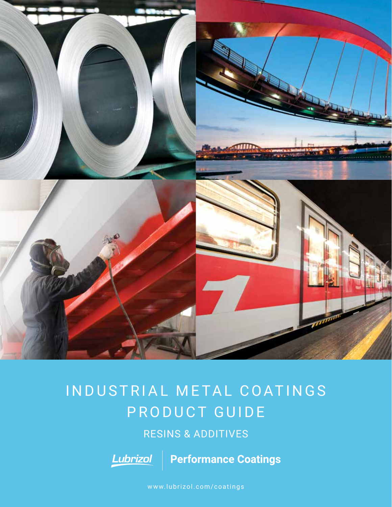

# IN DUSTRIAL METAL COATINGS PRODUCT GUIDE

# RESINS & ADDITIVES



**Performance Coatings** 

<www.lubrizol.com/coatings>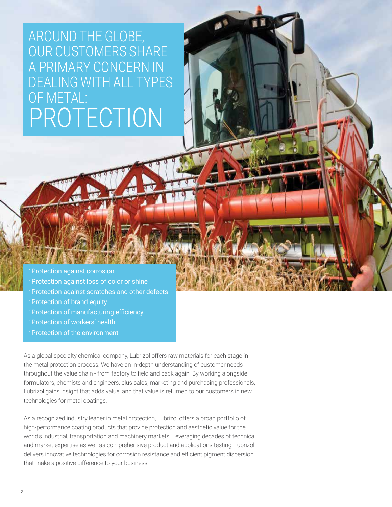# AROUND THE GLOBE, OUR CUSTOMERS SHARE A PRIMARY CONCERN IN DEALING WITH ALL TYPES OF METAL: PROTECTION

Protection against corrosion

- Protection against loss of color or shine
- Protection against scratches and other defects
- Protection of brand equity
- Protection of manufacturing efficiency
- Protection of workers' health
- Protection of the environment

As a global specialty chemical company, Lubrizol offers raw materials for each stage in the metal protection process. We have an in-depth understanding of customer needs throughout the value chain - from factory to field and back again. By working alongside formulators, chemists and engineers, plus sales, marketing and purchasing professionals, Lubrizol gains insight that adds value, and that value is returned to our customers in new technologies for metal coatings.

As a recognized industry leader in metal protection, Lubrizol offers a broad portfolio of high-performance coating products that provide protection and aesthetic value for the world's industrial, transportation and machinery markets. Leveraging decades of technical and market expertise as well as comprehensive product and applications testing, Lubrizol delivers innovative technologies for corrosion resistance and efficient pigment dispersion that make a positive difference to your business.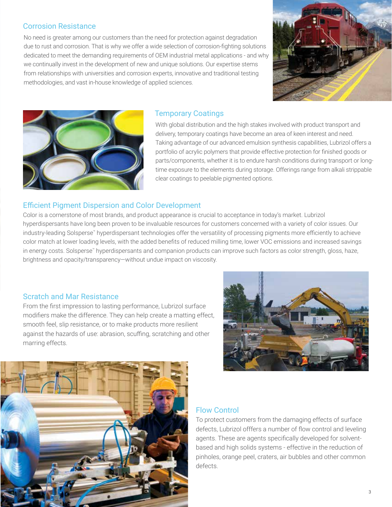#### Corrosion Resistance

No need is greater among our customers than the need for protection against degradation due to rust and corrosion. That is why we offer a wide selection of corrosion-fighting solutions dedicated to meet the demanding requirements of OEM industrial metal applications - and why we continually invest in the development of new and unique solutions. Our expertise stems from relationships with universities and corrosion experts, innovative and traditional testing methodologies, and vast in-house knowledge of applied sciences.





#### Temporary Coatings

With global distribution and the high stakes involved with product transport and delivery, temporary coatings have become an area of keen interest and need. Taking advantage of our advanced emulsion synthesis capabilities, Lubrizol offers a portfolio of acrylic polymers that provide effective protection for finished goods or parts/components, whether it is to endure harsh conditions during transport or longtime exposure to the elements during storage. Offerings range from alkali strippable clear coatings to peelable pigmented options.

#### Efficient Pigment Dispersion and Color Development

Color is a cornerstone of most brands, and product appearance is crucial to acceptance in today's market. Lubrizol hyperdispersants have long been proven to be invaluable resources for customers concerned with a variety of color issues. Our industry-leading Solsperse™ hyperdispersant technologies offer the versatility of processing pigments more efficiently to achieve color match at lower loading levels, with the added benefits of reduced milling time, lower VOC emissions and increased savings in energy costs. Solsperse™ hyperdispersants and companion products can improve such factors as color strength, gloss, haze, brightness and opacity/transparency—without undue impact on viscosity.

#### Scratch and Mar Resistance

From the first impression to lasting performance, Lubrizol surface modifiers make the difference. They can help create a matting effect, smooth feel, slip resistance, or to make products more resilient against the hazards of use: abrasion, scuffing, scratching and other marring effects.





### Flow Control

To protect customers from the damaging effects of surface defects, Lubrizol offfers a number of flow control and leveling agents. These are agents specifically developed for solventbased and high solids systems - effective in the reduction of pinholes, orange peel, craters, air bubbles and other common defects.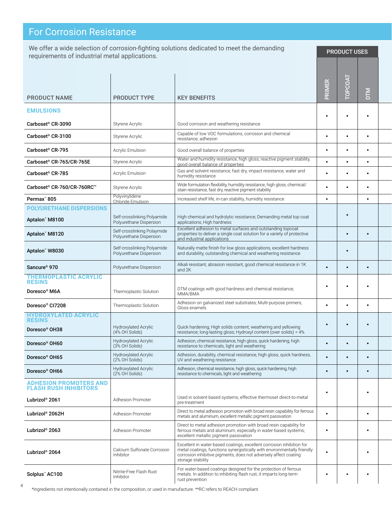# **For Corrosion Resistance**

We offer a wide selection of corrosion-fighting solutions dedicated to meet the demanding We offer a wide selection of corrosion-fighting solutions dedicated to meet the demanding<br>requirements of industrial metal applications.

| <b>PRODUCT NAME</b>                                           | <b>PRODUCT TYPE</b>                                    | <b>KEY BENEFITS</b>                                                                                                                                                                                                                       | PRIMER    | <b>LYOO</b><br><b>TOP</b> | DTM       |  |
|---------------------------------------------------------------|--------------------------------------------------------|-------------------------------------------------------------------------------------------------------------------------------------------------------------------------------------------------------------------------------------------|-----------|---------------------------|-----------|--|
| <b>EMULSIONS</b>                                              |                                                        |                                                                                                                                                                                                                                           |           |                           |           |  |
| Carboset <sup>®</sup> CR-3090                                 | Styrene Acrylic                                        | Good corrosion and weathering resistance                                                                                                                                                                                                  | $\bullet$ |                           |           |  |
| Carboset <sup>®</sup> CR-3100                                 | Styrene Acrylic                                        | Capable of low VOC formulations, corrosion and chemical                                                                                                                                                                                   | $\bullet$ | $\bullet$                 | $\bullet$ |  |
|                                                               |                                                        | resistance, adhesion                                                                                                                                                                                                                      |           |                           |           |  |
| Carboset <sup>®</sup> CR-795                                  | Acrylic Emulsion                                       | Good overall balance of properties<br>Water and humidity resistance, high gloss, reactive pigment stability,                                                                                                                              | $\bullet$ |                           | $\bullet$ |  |
| Carboset® CR-765/CR-765E                                      | Styrene Acrylic                                        | good overall balance of properties                                                                                                                                                                                                        |           |                           | $\bullet$ |  |
| Carboset <sup>®</sup> CR-785                                  | Acrylic Emulsion                                       | Gas and solvent resistance, fast dry, impact resistance, water and<br>humidity resistance                                                                                                                                                 | $\bullet$ |                           | $\bullet$ |  |
| Carboset <sup>®</sup> CR-760/CR-760RC**                       | Styrene Acrylic                                        | Wide formulation flexibility, humidity resistance, high gloss, chemical/<br>stain resistance, fast dry, reactive pigment stability                                                                                                        | $\bullet$ |                           | $\bullet$ |  |
| Permax <sup>®</sup> 805                                       | Polyvinylidene<br>Chloride Emulsion                    | Increased shelf life, in-can stability, humidity resistance                                                                                                                                                                               | $\bullet$ |                           | $\bullet$ |  |
| <b>POLYURETHANE DISPERSIONS</b>                               |                                                        |                                                                                                                                                                                                                                           |           |                           |           |  |
| Aptalon" M8100                                                | Self-crosslinking Polyamide<br>Polyurethane Dispersion | High chemical and hydrolytic resistance; Demanding metal top coat<br>applications; High hardness                                                                                                                                          |           | $\bullet$                 |           |  |
| Aptalon" M8120                                                | Self-crosslinking Polaymide<br>Polyurethane Dispersion | Excellent adhesion to metal surfaces and outstanding topcoat<br>properties to deliver a single coat solution for a variety of protective<br>and industrial applications                                                                   |           |                           | $\bullet$ |  |
| Aptalon" W8030                                                | Self-crosslinking Polyamide<br>Polyurethane Dispersion | Naturally matte finish for low gloss applications, excellent hardness<br>and durability, outstanding chemical and weathering resistance                                                                                                   |           | $\bullet$                 |           |  |
| Sancure <sup>®</sup> 970                                      | Polyurethane Dispersion                                | Alkali resistant, abrasion resistant, good chemical resistance in 1K<br>and 2K                                                                                                                                                            | $\bullet$ |                           | $\bullet$ |  |
| <b>THERMOPLASTIC ACRYLIC</b><br><b>RESINS</b>                 |                                                        |                                                                                                                                                                                                                                           |           |                           |           |  |
| Doresco® M6A                                                  | Thermoplastic Solution                                 | DTM coatings with good hardness and chemical resistance;<br>MMA/BMA                                                                                                                                                                       | $\bullet$ |                           |           |  |
| Doresco® CI7208                                               | Thermoplastic Solution                                 | Adhesion on galvanized steel substrates; Multi-purpose primers;<br>Gloss enamels                                                                                                                                                          | $\bullet$ |                           | $\bullet$ |  |
| <b>HYDROXYLATED ACRYLIC</b><br><b>RESINS</b>                  |                                                        |                                                                                                                                                                                                                                           |           |                           |           |  |
| Doresco <sup>®</sup> OH38                                     | Hydroxylated Acrylic<br>(4% OH Solids)                 | Quick hardening; High solids content; weathering and yellowing<br>resistance; long-lasting gloss; Hydroxyl content (over solids) = 4%                                                                                                     | $\bullet$ |                           |           |  |
| Doresco <sup>®</sup> OH60                                     | Hydroxylated Acrylic<br>(3% OH Solids)                 | Adhesion, chemical resistance, high gloss, quick hardening, high<br>resistance to chemicals, light and weathering                                                                                                                         | $\bullet$ | $\bullet$                 | $\bullet$ |  |
| Doresco <sup>®</sup> OH65                                     | Hydroxylated Acrylic<br>(2% OH Solids)                 | Adhesion, durability, chemical resistance, high gloss, quick hardness,<br>UV and weathering resistance                                                                                                                                    | $\bullet$ | $\bullet$                 | $\bullet$ |  |
| Doresco <sup>®</sup> OH66                                     | Hydroxylated Acrylic<br>(2% OH Solids)                 | Adhesion, chemical resistance, high gloss, quick hardening, high<br>resistance to chemicals, light and weathering                                                                                                                         | $\bullet$ | $\bullet$                 | $\bullet$ |  |
| <b>ADHESION PROMOTERS AND</b><br><b>FLASH RUSH INHIBITORS</b> |                                                        |                                                                                                                                                                                                                                           | $\bullet$ |                           |           |  |
| Lubrizol <sup>®</sup> 2061                                    | Adhesion Promoter                                      | Used in solvent-based systems, effective thermoset direct-to-metal<br>pre-treatment                                                                                                                                                       |           |                           |           |  |
| Lubrizol® 2062H                                               | Adhesion Promoter                                      | Direct to metal adhesion promotion with broad resin capability for ferrous<br>metals and aluminum, excellent metallic pigment passivation                                                                                                 |           |                           | $\bullet$ |  |
| Lubrizol® 2063                                                | Adhesion Promoter                                      | Direct to metal adhesion promotion with broad resin capability for<br>ferrous metals and aluminum, especially in water-based systems;<br>excellent metallic pigment passivation                                                           | $\bullet$ |                           | $\bullet$ |  |
| Lubrizol <sup>®</sup> 2064                                    | Calcium Sulfonate Corrosion<br>Inhibitor               | Excellent in water-based coatings, excellent corrosion inhibition for<br>metal coatings, functions synergistically with environmentally friendly<br>corrosion inhibitive pigments, does not adversely affect coating<br>storage stability | $\bullet$ |                           | $\bullet$ |  |
| Solplus" AC100                                                | Nitrite-Free Flash Rust<br>Inhibitor                   | For water-based coatings designed for the protection of ferrous<br>metals. In addition to inhibiting flash rust, it imparts long-term<br>rust prevention                                                                                  | $\bullet$ | $\bullet$                 | $\bullet$ |  |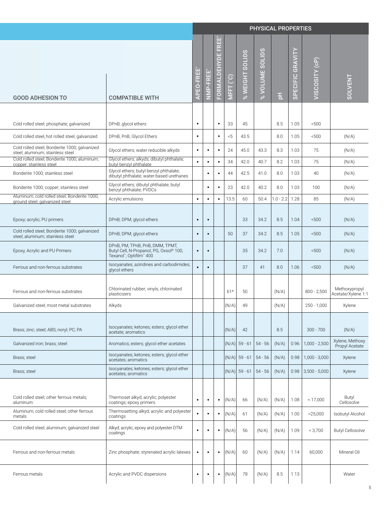|                                                                                   |                                                                                                       |                           |                |                                             |       |                    |                   | PHYSICAL PROPERTIES       |                  |                                                              |                                     |
|-----------------------------------------------------------------------------------|-------------------------------------------------------------------------------------------------------|---------------------------|----------------|---------------------------------------------|-------|--------------------|-------------------|---------------------------|------------------|--------------------------------------------------------------|-------------------------------------|
| <b>GOOD ADHESION TO</b>                                                           | <b>COMPATIBLE WITH</b>                                                                                | EO-FREI<br>$\overline{z}$ | $\alpha$       | FREE*<br>FORMALDEHYDE<br><u>(၁)</u><br>MFFT |       | SOLIDS<br>% WEIGHT | SOLIDS<br>OLUME : | 퓐                         | SPECIFIC GRAVITY | VISCOSITY (cP)                                               | SOLVENT                             |
|                                                                                   |                                                                                                       |                           |                |                                             |       |                    |                   |                           |                  |                                                              |                                     |
| Cold rolled steel; phosphate; galvanized                                          | DPnB; glycol ethers                                                                                   | $\bullet$                 |                | 33<br>$\bullet$                             |       | 45                 |                   | 8.5                       | 1.05             | < 500                                                        |                                     |
| Cold rolled steel, hot rolled steel, galvanized                                   | DPnB, PnB, Glycol Ethers                                                                              | $\bullet$                 |                | < 5<br>$\bullet$                            |       | 43.5               |                   | 8.0                       | 1.05             | < 500                                                        | (N/A)                               |
| Cold rolled steel; Bonderite 1000; galvanized<br>steel; aluminum; stainless steel | Glycol ethers; water reducible alkyds                                                                 | $\cdot$ 1                 | $\bullet$      | 24<br>$\bullet$                             |       | 45.0               | 43.3              | 8.3                       | 1.03             | 75                                                           | (N/A)                               |
| Cold rolled steel; Bonderite 1000; aluminum;<br>copper; stainless steel           | Glycol ethers; alkyds; dibutyl phthalate;<br>butyl benzyl phthalate                                   | $\bullet$                 | $\bullet$      | 34<br>$\bullet$                             |       | 42.0               | 40.7              | 8.2                       | 1.03             | 75                                                           | (N/A)                               |
| Bonderite 1000; stainless steel                                                   | Glycol ethers; butyl benzyl phthalate;<br>dibutyl phthalate; water-based urethanes                    |                           | $\blacksquare$ | 44<br>$\bullet$                             |       | 42.5               | 41.0              | 8.0                       | 1.03             | 40                                                           | (N/A)                               |
| Bonderite 1000; copper; stainless steel                                           | Glycol ethers; dibutyl phthalate; butyl<br>benzyl phthalate; PVDCs                                    |                           | $\bullet$      | 23<br>$\bullet$                             |       | 42.0               | 40.2              | 8.0                       | 1.03             | 100                                                          | (N/A)                               |
| Aluminum; cold rolled steel; Bonderite 1000;<br>ground steel; galvanized steel    | Acrylic emulsions                                                                                     | $\bullet$                 | $\bullet$      | $\bullet$                                   | 13.5  | 60                 |                   | $50.4$   1.0 - 2.2   1.28 |                  | 85                                                           | (N/A)                               |
|                                                                                   |                                                                                                       |                           |                |                                             |       |                    |                   |                           |                  |                                                              |                                     |
| Epoxy; acrylic; PU primers<br>Cold rolled steel; Bonderite 1000; galvanized       | DPnB; DPM; glycol ethers                                                                              | $\cdot$ 1                 | $\bullet$      |                                             |       | 33                 | 34.2              | 8.5                       | 1.04             | ~500                                                         | (N/A)                               |
| steel; aluminum; stainless steel                                                  | DPnB; DPM; glycol ethers                                                                              | $\cdot$ 1                 | $\bullet$      | 50                                          |       | 37                 | 34.2              | 8.5                       | 1.05             | 500                                                          | (N/A)                               |
| Epoxy, Acrylic and PU Primers                                                     | DPnB, PM, TPnB, PnB, DMM, TPMT,<br>Butyl Cell, N-Propanol, PG, Oxsol® 100,<br>Texanol", Optifilm" 400 | $\bullet$ 1               | $\bullet$      |                                             |       | 35                 | 34.2              | 7.0                       |                  | 500                                                          | (N/A)                               |
| Ferrous and non-ferrous substrates                                                | Isocyanates; aziridines and carbodimides;<br>glycol ethers                                            | $\bullet$                 | $\bullet$      |                                             |       | 37                 | 41                | 8.0                       | 1.06             | < 500                                                        | (N/A)                               |
| Ferrous and non-ferrous substrates                                                | Chlorinated rubber; vinyls; chlorinated<br>plasticizers                                               |                           |                | $61*$                                       |       | 50                 |                   | (N/A)                     |                  | $800 - 2,500$                                                | Methoxypropyl<br>Acetate/Xylene 1:1 |
| Galvanized steel; most metal substrates                                           | Alkyds                                                                                                |                           |                |                                             | (N/A) | 49                 |                   | (N/A)                     |                  | $250 - 1,000$                                                | Xylene                              |
| Brass; zinc; steel; ABS; noryl; PC; PA                                            | Isocyanates; ketones; esters; glycol ether<br>acetate; aromatics                                      |                           |                |                                             | (N/A) | 42                 |                   | 8.5                       |                  | $300 - 700$                                                  | (N/A)                               |
| Galvanized iron; brass; steel                                                     | Aromatics; esters; glycol ether acetates                                                              |                           |                |                                             |       |                    |                   |                           |                  | $ (N/A) $ 59 - 61   54 - 56   $(N/A)$   0.96   1,000 - 2,500 | Xylene, Methoxy<br>Propyl Acetate   |
| Brass; steel                                                                      | Isocyanates; ketones; esters; glycol ether<br>acetates; aromatics                                     |                           |                |                                             |       |                    |                   |                           |                  | $ (N/A) $ 59 - 61   54 - 56   $(N/A)$   0.98   1,000 - 3,000 | Xylene                              |
| Brass; steel                                                                      | Isocyanates; ketones; esters; glycol ether<br>acetates; aromatics                                     |                           |                |                                             |       |                    |                   |                           |                  | $ (N/A) $ 59 - 61   54 - 56   $(N/A)$   0.98   3,500 - 5,000 | Xylene                              |
| Cold rolled steel; other ferrous metals;<br>aluminum                              | Thermoset alkyd; acrylic; polyester<br>coatings; epoxy primers                                        | $\bullet$                 | $\bullet$      | $\bullet$ $\vdash$                          | (N/A) | 66                 |                   | $(N/A)$ $(N/A)$           | 1.08             | < 17,000                                                     | Butyl<br>Cellosolve                 |
| Aluminum; cold rolled steel; other ferrous<br>metals                              | Thermosetting alkyd; acrylic and polyester<br>coatings                                                |                           | $\bullet$      | $\bullet$                                   | (N/A) | 61                 |                   | $(N/A)$ $(N/A)$           | 1.00             | $<$ 25,000                                                   | Isobutyl Alcohol                    |
| Cold rolled steel; aluminum; galvanized steel                                     | Alkyd; acrylic; epoxy and polyester DTM<br>coatings                                                   | $\bullet$                 | $\bullet$ 1    | $\bullet$ $ (N/A) $                         |       | 56                 |                   | $(N/A)$ $(N/A)$           | 1.09             | < 3,700                                                      | <b>Butyl Cellosolve</b>             |
| Ferrous and non-ferrous metals                                                    | Zinc phosphate; styrenated acrylic latexes                                                            | $\bullet$                 | $\bullet$ 1    | $\bullet$ $ (N/A) $                         |       | 60                 |                   | $(N/A)$ $(N/A)$ 1.14      |                  | 60,000                                                       | Mineral Oil                         |
| Ferrous metals                                                                    | Acrylic and PVDC dispersions                                                                          | $\bullet$ 1               | $\bullet$      | $\bullet$ $ (N/A) $                         |       | 78                 | (N/A)             | 8.5                       | 1.13             |                                                              | Water                               |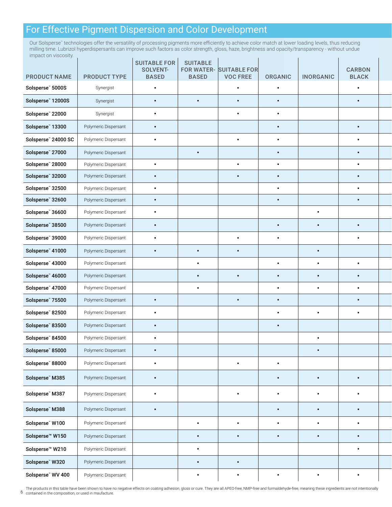### For Effective Pigment Dispersion and Color Development

Our Solsperse" technologies offer the versatility of processing pigments more efficiently to achieve color match at lower loading levels, thus reducing milling time. Lubrizol hyperdispersants can improve such factors as color strength, gloss, haze, brightness and opacity/transparency - without undue impact on viscosity.

| <b>PRODUCT NAME</b>         | PRODUCT TYPE         | <b>SUITABLE FOR</b><br>SOLVENT-<br><b>BASED</b> | <b>SUITABLE</b><br><b>BASED</b> | FOR WATER- SUITABLE FOR<br><b>VOC FREE</b> | ORGANIC   | <b>INORGANIC</b> | <b>CARBON</b><br><b>BLACK</b> |  |
|-----------------------------|----------------------|-------------------------------------------------|---------------------------------|--------------------------------------------|-----------|------------------|-------------------------------|--|
| Solsperse" 5000S            | Synergist            | $\bullet$                                       |                                 | $\bullet$                                  | $\bullet$ |                  | $\bullet$                     |  |
| Solsperse" 12000S           | Synergist            | $\bullet$                                       | $\bullet$                       | $\bullet$                                  | $\bullet$ |                  | $\bullet$                     |  |
| Solsperse" 22000            | Synergist            | $\bullet$                                       |                                 | $\bullet$                                  | $\bullet$ |                  |                               |  |
| Solsperse" 13300            | Polymeric Dispersant | $\bullet$                                       |                                 |                                            | $\bullet$ |                  | $\bullet$                     |  |
| Solsperse" 24000 SC         | Polymeric Dispersant | $\bullet$                                       |                                 | $\bullet$                                  | $\bullet$ |                  | $\bullet$                     |  |
| Solsperse" 27000            | Polymeric Dispersant |                                                 | $\bullet$                       |                                            | $\bullet$ |                  | $\bullet$                     |  |
| Solsperse" 28000            | Polymeric Dispersant | $\bullet$                                       |                                 | $\bullet$                                  | $\bullet$ |                  | $\bullet$                     |  |
| Solsperse" 32000            | Polymeric Dispersant | $\bullet$                                       |                                 | $\bullet$                                  | $\bullet$ |                  | $\bullet$                     |  |
| Solsperse" 32500            | Polymeric Dispersant | $\bullet$                                       |                                 |                                            | $\bullet$ |                  | $\bullet$                     |  |
| Solsperse" 32600            | Polymeric Dispersant | $\bullet$                                       |                                 |                                            | $\bullet$ |                  | $\bullet$                     |  |
| Solsperse" 36600            | Polymeric Dispersant | $\bullet$                                       |                                 |                                            |           | $\bullet$        |                               |  |
| Solsperse" 38500            | Polymeric Dispersant | $\bullet$ .                                     |                                 |                                            | $\bullet$ | $\bullet$        | $\bullet$                     |  |
| Solsperse" 39000            | Polymeric Dispersant | $\bullet$                                       |                                 | $\bullet$                                  | $\bullet$ |                  | $\bullet$                     |  |
| Solsperse" 41000            | Polymeric Dispersant | $\bullet$                                       | $\bullet$                       | $\bullet$                                  |           | $\bullet$        |                               |  |
| Solsperse" 43000            | Polymeric Dispersant |                                                 | $\bullet$                       |                                            | $\bullet$ | $\bullet$        | $\bullet$                     |  |
| Solsperse" 46000            | Polymeric Dispersant |                                                 | $\bullet$                       | $\bullet$                                  | $\bullet$ | $\bullet$        | $\bullet$                     |  |
| Solsperse" 47000            | Polymeric Dispersant |                                                 | $\bullet$                       |                                            | $\bullet$ | $\bullet$        | $\bullet$                     |  |
| Solsperse" 75500            | Polymeric Dispersant | $\bullet$                                       |                                 | $\bullet$                                  | $\bullet$ |                  | $\bullet$                     |  |
| Solsperse" 82500            | Polymeric Dispersant | $\bullet$                                       |                                 |                                            | $\bullet$ | $\bullet$        | $\bullet$                     |  |
| Solsperse" 83500            | Polymeric Dispersant | $\bullet$                                       |                                 |                                            | $\bullet$ |                  |                               |  |
| Solsperse" 84500            | Polymeric Dispersant | $\bullet$                                       |                                 |                                            |           | $\bullet$        |                               |  |
| Solsperse" 85000            | Polymeric Dispersant | $\bullet$                                       |                                 |                                            |           | $\bullet$        |                               |  |
| Solsperse" 88000            | Polymeric Dispersant | $\bullet$                                       |                                 | $\bullet$                                  | $\bullet$ |                  |                               |  |
| Solsperse" M385             | Polymeric Dispersant |                                                 |                                 |                                            | $\bullet$ | $\bullet$        | $\bullet$                     |  |
|                             |                      | $\bullet$                                       |                                 |                                            |           |                  |                               |  |
| Solsperse" M387             | Polymeric Dispersant | $\bullet$                                       |                                 | $\bullet$                                  | $\bullet$ | $\bullet$        | $\bullet$                     |  |
| Solsperse" M388             | Polymeric Dispersant | $\bullet$                                       |                                 |                                            | $\bullet$ | $\bullet$        | $\bullet$                     |  |
| Solsperse" W100             | Polymeric Dispersant |                                                 | $\bullet$                       | $\bullet$                                  | $\bullet$ | $\bullet$        | $\bullet$                     |  |
| Solsperse <sup>™</sup> W150 | Polymeric Dispersant |                                                 | $\bullet$                       | $\bullet$                                  | $\bullet$ | $\bullet$        | $\bullet$                     |  |
| Solsperse™ W210             | Polymeric Dispersant |                                                 | $\bullet$                       |                                            |           |                  | $\bullet$                     |  |
| Solsperse" W320             | Polymeric Dispersant |                                                 | $\bullet$                       | $\bullet$                                  |           |                  |                               |  |
| Solsperse" WV 400           | Polymeric Dispersant |                                                 | $\bullet$                       | $\bullet$                                  | $\bullet$ | $\bullet$        | $\bullet$                     |  |

6 contained in the composition, or used in maufacture. The products in this table have been shown to have no negative effects on coating adhesion, gloss or cure. They are all APEO-free, NMP-free and formaldehyde-free, meaning these ingredients are not intentionally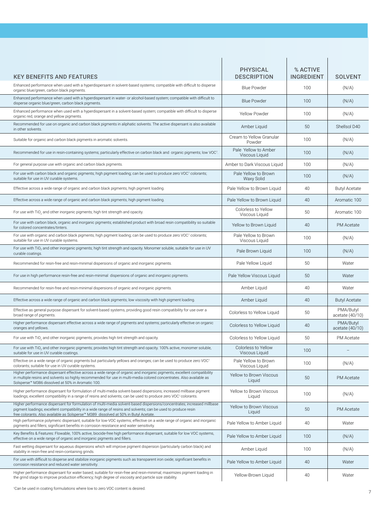| <b>PHYSICAL</b><br><b>DESCRIPTION</b><br><b>KEY BENEFITS AND FEATURES</b>                                                                                                                                                                                                                                                                                              | % ACTIVE<br><b>INGREDIENT</b> | <b>SOLVENT</b>               |
|------------------------------------------------------------------------------------------------------------------------------------------------------------------------------------------------------------------------------------------------------------------------------------------------------------------------------------------------------------------------|-------------------------------|------------------------------|
| Enhanced performance when used with a hyperdispersant in solvent-based systems; compatible with difficult to disperse<br><b>Blue Powder</b><br>organic blue/green, carbon black pigments.                                                                                                                                                                              | 100                           | (N/A)                        |
| Enhanced performance when used with a hyperdispersant in water- or alcohol-based system; compatible with difficult to<br><b>Blue Powder</b><br>disperse organic blue/green, carbon black pigments.                                                                                                                                                                     | 100                           | (N/A)                        |
| Enhanced performance when used with a hyperdispersant in a solvent-based system; compatible with difficult to disperse<br>Yellow Powder<br>organic red, orange and yellow pigments.                                                                                                                                                                                    | 100                           | (N/A)                        |
| Recommended for use on organic and carbon black pigments in aliphatic solvents. The active dispersant is also available<br>Amber Liquid<br>in other solvents.                                                                                                                                                                                                          | 50                            | Shellsol D40                 |
| Cream to Yellow Granular<br>Suitable for organic and carbon black pigments in aromatic solvents.<br>Powder                                                                                                                                                                                                                                                             | 100                           | (N/A)                        |
| Pale Yellow to Amber<br>Recommended for use in resin-containing systems; particularly effective on carbon black and organic pigments; low VOC <sup>1</sup><br>Viscous Liquid                                                                                                                                                                                           | 100                           | (N/A)                        |
| Amber to Dark Viscous Liquid<br>For general purpose use with organic and carbon black pigments.                                                                                                                                                                                                                                                                        | 100                           | (N/A)                        |
| Pale Yellow to Brown<br>For use with carbon black and organic pigments; high pigment loading; can be used to produce zero VOC1 colorants;<br>suitable for use in UV curable systems.<br>Waxy Solid                                                                                                                                                                     | 100                           | (N/A)                        |
| Pale Yellow to Brown Liquid<br>Effective across a wide range of organic and carbon black pigments; high pigment loading.                                                                                                                                                                                                                                               | 40                            | <b>Butyl Acetate</b>         |
| Pale Yellow to Brown Liquid<br>Effective across a wide range of organic and carbon black pigments; high pigment loading.                                                                                                                                                                                                                                               | 40                            | Aromatic 100                 |
| Colorless to Yellow<br>For use with TiO <sub>2</sub> and other inorganic pigments; high tint strength and opacity.<br>Viscous Liquid                                                                                                                                                                                                                                   | 50                            | Aromatic 100                 |
| For use with carbon black, organic and inorganic pigments; established product with broad resin compatibility so suitable<br>Yellow to Brown Liquid<br>for colored concentrates/tinters.                                                                                                                                                                               | 40                            | <b>PM</b> Acetate            |
| Pale Yellow to Brown<br>For use with organic and carbon black pigments; high pigment loading; can be used to produce zero VOC1 colorants;<br>suitable for use in UV curable systems.<br>Viscous Liquid                                                                                                                                                                 | 100                           | (N/A)                        |
| For use with TiO <sub>2</sub> and other inorganic pigments; high tint strength and opacity. Monomer soluble, suitable for use in UV<br>Pale Brown Liquid<br>curable coatings.                                                                                                                                                                                          | 100                           | (N/A)                        |
| Pale Yellow Liquid<br>Recommended for resin-free and resin-minimal dispersions of organic and inorganic pigments.                                                                                                                                                                                                                                                      | 50                            | Water                        |
| Pale Yellow Viscous Liquid<br>For use in high performance resin-free and resin-minimal dispersions of organic and inorganic pigments.                                                                                                                                                                                                                                  | 50                            | Water                        |
| Recommended for resin-free and resin-minimal dispersions of organic and inorganic pigments.<br>Amber Liquid                                                                                                                                                                                                                                                            | 40                            | Water                        |
| Effective across a wide range of organic and carbon black pigments; low viscosity with high pigment loading.<br>Amber Liquid                                                                                                                                                                                                                                           | 40                            | <b>Butyl Acetate</b>         |
| Effective as general purpose dispersant for solvent-based systems, providing good resin compatibility for use over a<br>Colorless to Yellow Liquid<br>broad range of pigments.                                                                                                                                                                                         | 50                            | PMA/Butyl<br>acetate (40/10) |
| Higher performance dispersant effective across a wide range of pigments and systems; particularly effective on organic<br>Colorless to Yellow Liquid<br>oranges and yellows.                                                                                                                                                                                           | 40                            | PMA/Butyl<br>acetate (40/10) |
| Colorless to Yellow Liquid<br>For use with TiO, and other inorganic pigments; provides high tint strength and opacity.                                                                                                                                                                                                                                                 | 50                            | PM Acetate                   |
| Colorless to Yellow<br>For use with TiO <sub>2</sub> and other inorganic pigments; provides high tint strength and opacity. 100% active, monomer soluble,<br>suitable for use in UV curable coatings.<br>Viscous Liquid                                                                                                                                                | 100                           |                              |
| Pale Yellow to Brown<br>Effective on a wide range of organic pigments but particularly yellows and oranges; can be used to produce zero VOC1<br>colorants; suitable for use in UV curable systems.<br>Viscous Liquid                                                                                                                                                   | 100                           | (N/A)                        |
| Higher performance dispersant effective across a wide range of organic and inorganic pigments; excellent compatibility<br>Yellow to Brown Viscous<br>in multiple resins and solvents so highly recommended for use in multi-media colored concentrates. Also available as<br>Liquid<br>Solsperse™ M386 dissolved at 50% in Aromatic 100.                               | 50                            | PM Acetate                   |
| Higher performance dispersant for formulation of multi-media solvent-based dispersions; increased millbase pigment<br>Yellow to Brown Viscous<br>loadings; excellent compatibility in a range of resins and solvents; can be used to produce zero VOC1 colorants.<br>Liguid                                                                                            | 100                           | (N/A)                        |
| Higher performance dispersant for formulation of multi-media solvent-based dispersions/concentrates; increased millbase<br>Yellow to Brown Viscous<br>pigment loadings; excellent compatibility in a wide range of resins and solvents; can be used to produce resin<br>Liguid<br>free colorants. Also available as Solsperse™ M389 dissolved at 50% in Butyl Acetate. | 50                            | <b>PM</b> Acetate            |
| High performance polymeric dispersant; suitable for low-VOC systems; effective on a wide range of organic and inorganic<br>Pale Yellow to Amber Liquid<br>pigments and fillers; significant benefits in corrosion resistance and water sensitivity.                                                                                                                    | 40                            | Water                        |
| Key Benefits & Features: Flowable, 100% active, biocide-free high performance dispersant, suitable for low VOC systems,<br>Pale Yellow to Amber Liquid<br>effective on a wide range of organic and inorganic pigments and fillers.                                                                                                                                     | 100                           | (N/A)                        |
| Fast wetting dispersant for aqueous dispersions which will improve pigment dispersion (particularly carbon black) and<br>Amber Liquid<br>stability in resin-free and resin-containing grinds.                                                                                                                                                                          | 100                           | (N/A)                        |
| For use with difficult to disperse and stabilize inorganic pigments such as transparent iron oxide; significant benefits in<br>Pale Yellow to Amber Liquid<br>corrosion resistance and reduced water sensitivity.                                                                                                                                                      | 40                            | Water                        |
| Higher performance dispersant for water based; suitable for resin-free and resin-minimal; maximizes pigment loading in<br>Yellow-Brown Liquid<br>the grind stage to improve production efficiency; high degree of viscosity and particle size stability.                                                                                                               | 40                            | Water                        |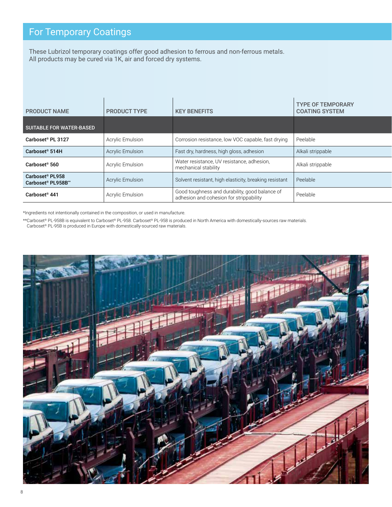### For Temporary Coatings

These Lubrizol temporary coatings offer good adhesion to ferrous and non-ferrous metals. All products may be cured via 1K, air and forced dry systems.

| <b>PRODUCT NAME</b>                                           | <b>PRODUCT TYPE</b>     | <b>KEY BENEFITS</b>                                                                       | TYPE OF TEMPORARY<br><b>COATING SYSTEM</b> |
|---------------------------------------------------------------|-------------------------|-------------------------------------------------------------------------------------------|--------------------------------------------|
| SUITABLE FOR WATER-BASED                                      |                         |                                                                                           |                                            |
| Carboset <sup>®</sup> PL 3127                                 | Acrylic Emulsion        | Corrosion resistance, low VOC capable, fast drying                                        | Peelable                                   |
| Carboset <sup>®</sup> 514H                                    | Acrylic Emulsion        | Fast dry, hardness, high gloss, adhesion                                                  | Alkali strippable                          |
| Carboset® 560                                                 | Acrylic Emulsion        | Water resistance, UV resistance, adhesion,<br>mechanical stability                        | Alkali strippable                          |
| Carboset <sup>®</sup> PL958<br>Carboset <sup>®</sup> PL958B** | Acrylic Emulsion        | Solvent resistant, high elasticity, breaking resistant                                    | $\vert$ Peelable                           |
| Carboset <sup>®</sup> 441                                     | <b>Acrylic Emulsion</b> | Good toughness and durability, good balance of<br>adhesion and cohesion for strippability | Peelable                                   |

\*Ingredients not intentionally contained in the composition, or used in manufacture.

\*\*Carboset® PL-958B is equivalent to Carboset® PL-958. Carboset® PL-958 is produced in North America with domestically-sources raw materials. Carboset® PL-95B is produced in Europe with domestically-sourced raw materials.

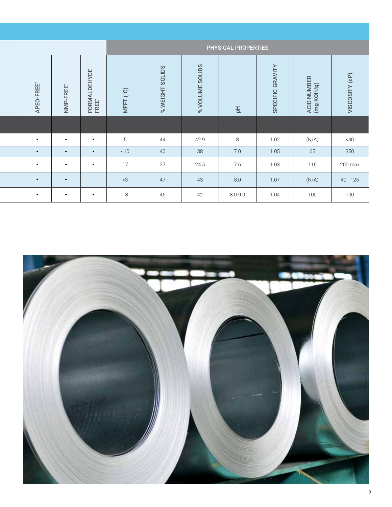|                            |                           |                       |                                         |                                            |                                             | <b>PHYSICAL PROPERTIES</b> |                                    |                           |                |
|----------------------------|---------------------------|-----------------------|-----------------------------------------|--------------------------------------------|---------------------------------------------|----------------------------|------------------------------------|---------------------------|----------------|
| FREE <sup>*</sup><br>APEO- | FREE*<br>NMP <sub>.</sub> | FORMALDEHYDE<br>FREE" | $\binom{O}{c}$<br>⊢<br>MFF <sup>-</sup> | <b>SOLIDS</b><br><b>WEIGHT</b><br>$\aleph$ | <b>SOLIDS</b><br><b>VOLUME</b><br>$\approx$ | 푄                          | GRAVIT<br>ECIFIC<br>$\overline{S}$ | ACID NUMBER<br>(mg KOH/g) | VISCOSITY (cP) |
|                            |                           |                       |                                         |                                            |                                             |                            |                                    |                           |                |
| $\bullet$                  | $\bullet$                 | $\bullet$             |                                         | 44                                         | 42.9                                        | 8                          | 1.02                               | (N/A)                     | $<$ 40         |
| $\bullet$                  | $\bullet$                 | $\bullet$             | < 10                                    | 40                                         | 38                                          | 7.0                        | 1.05                               | 65                        | 350            |
| $\bullet$                  | $\bullet$                 | $\bullet$             | 17                                      | 27                                         | 24.5                                        | 7.6                        | 1.03                               | 116                       | 200 max        |
| $\bullet$                  | $\bullet$                 |                       | $<$ 3                                   | 47                                         | 43                                          | 8.0                        | 1.07                               | (N/A)                     | $40 - 125$     |
| $\bullet$                  | $\bullet$                 | $\bullet$             | 18                                      | 45                                         | 42                                          | $8.0 - 9.0$                | 1.04                               | 100                       | 100            |

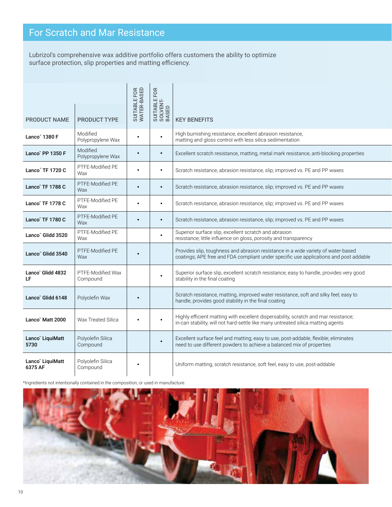# For Scratch and Mar Resistance

Lubrizol's comprehensive wax additive portfolio offers customers the ability to optimize surface protection, slip properties and matting efficiency.

| <b>PRODUCT NAME</b>         | <b>PRODUCT TYPE</b>           | SUITABLE FOR<br>WATER-BASED |           | SUSHER<br>SUSHER<br>SOLISH<br>SUSHER KEY BENEFITS                                                                                                                          |
|-----------------------------|-------------------------------|-----------------------------|-----------|----------------------------------------------------------------------------------------------------------------------------------------------------------------------------|
| Lanco" 1380 F               | Modified<br>Polypropylene Wax |                             | $\bullet$ | High burnishing resistance, excellent abrasion resistance,<br>matting and gloss control with less silica sedimentation                                                     |
| Lanco" PP 1350 F            | Modified<br>Polypropylene Wax |                             | $\bullet$ | Excellent scratch resistance, matting, metal mark resistance, anti-blocking properties                                                                                     |
| Lanco" TF 1720 C            | PTFE-Modified PE<br>Wax       |                             | $\bullet$ | Scratch resistance, abrasion resistance, slip; improved vs. PE and PP waxes                                                                                                |
| Lanco" TF 1788 C            | PTFE-Modified PE<br>Wax       | $\bullet$                   | $\bullet$ | Scratch resistance, abrasion resistance, slip; improved vs. PE and PP waxes                                                                                                |
| Lanco" TF 1778 C            | PTFE-Modified PE<br>Wax       |                             | $\bullet$ | Scratch resistance, abrasion resistance, slip; improved vs. PE and PP waxes                                                                                                |
| Lanco" TF 1780 C            | PTFE-Modified PE<br>Wax       |                             | $\bullet$ | Scratch resistance, abrasion resistance, slip; improved vs. PE and PP waxes                                                                                                |
| Lanco" Glidd 3520           | PTFE-Modified PE<br>Wax       |                             | $\bullet$ | Superior surface slip, excellent scratch and abrasion<br>resistance; little influence on gloss, porosity and transparency                                                  |
| Lanco" Glidd 3540           | PTFE-Modified PE<br>Wax       |                             |           | Provides slip, toughness and abrasion resistance in a wide variety of water-based<br>coatings; APE free and FDA compliant under specific use applications and post addable |
| Lanco" Glidd 4832<br>LF.    | PTFE-Modified Wax<br>Compound |                             | $\bullet$ | Superior surface slip, excellent scratch resistance; easy to handle, provides very good<br>stability in the final coating                                                  |
| Lanco" Glidd 6148           | Polyolefin Wax                | $\bullet$                   |           | Scratch resistance, matting, improved water resistance, soft and silky feel; easy to<br>handle, provides good stability in the final coating                               |
| Lanco" Matt 2000            | Wax Treated Silica            |                             | $\bullet$ | Highly efficient matting with excellent dispersability, scratch and mar resistance;<br>in-can stability, will not hard-settle like many untreated silica matting agents    |
| Lanco" LiquiMatt<br>5730    | Polyolefin Silica<br>Compound |                             | $\bullet$ | Excellent surface feel and matting; easy to use, post-addable, flexible; eliminates<br>need to use different powders to achieve a balanced mix of properties               |
| Lanco" LiquiMatt<br>6375 AF | Polyolefin Silica<br>Compound | $\bullet$                   |           | Uniform matting, scratch resistance, soft feel, easy to use, post-addable                                                                                                  |

\*Ingredients not intentionally contained in the composition, or used in manufacture.

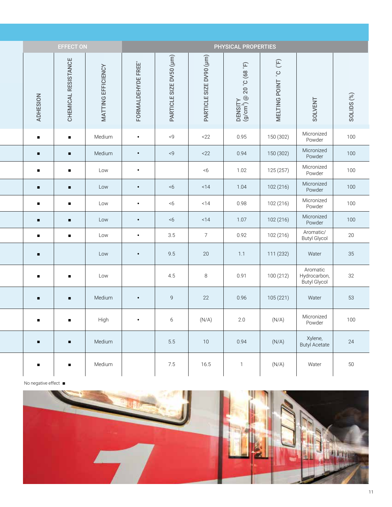|                 | <b>EFFECT ON</b>    |                    |                    |                            |                            | PHYSICAL PROPERTIES                                          |                                                                                                                         |                                          |                       |
|-----------------|---------------------|--------------------|--------------------|----------------------------|----------------------------|--------------------------------------------------------------|-------------------------------------------------------------------------------------------------------------------------|------------------------------------------|-----------------------|
| <b>ADHESION</b> | CHEMICAL RESISTANCE | MATTING EFFICIENCY | FORMALDEHYDE FREE* | SIZE DV50 (µm)<br>PARTICLE | SIZE DV90 (µm)<br>PARTICLE | (9.8)<br><b>D. 02</b><br>DENSITY<br>(g/cm <sup>3</sup> ) @ 2 | $\left( \begin{smallmatrix} \mathbb{H} \\ \mathbb{H} \end{smallmatrix} \right)$<br>$\mathcal{O}_\circ$<br>MELTING POINT | SOLVENT                                  | SOLIDS <sup>(%)</sup> |
| $\blacksquare$  | $\blacksquare$      | Medium             | $\bullet$          | < 9                        | <22                        | 0.95                                                         | 150 (302)                                                                                                               | Micronized<br>Powder                     | 100                   |
| $\blacksquare$  | $\blacksquare$      | Medium             | $\bullet$          | < 9                        | <22                        | 0.94                                                         | 150 (302)                                                                                                               | Micronized<br>Powder                     | 100                   |
| $\blacksquare$  | $\blacksquare$      | Low                | $\bullet$          |                            | < 6                        | 1.02                                                         | 125 (257)                                                                                                               | Micronized<br>Powder                     | 100                   |
| $\blacksquare$  | $\blacksquare$      | Low                | $\bullet$          | &5                         | <14                        | 1.04                                                         | 102 (216)                                                                                                               | Micronized<br>Powder                     | 100                   |
| $\blacksquare$  | $\blacksquare$      | Low                | $\bullet$          | &5                         | < 14                       | 0.98                                                         | 102 (216)                                                                                                               | Micronized<br>Powder                     | 100                   |
| $\blacksquare$  | $\blacksquare$      | Low                | $\bullet$          | &5                         | < 14                       | 1.07                                                         | 102 (216)                                                                                                               | Micronized<br>Powder                     | 100                   |
| $\blacksquare$  | $\blacksquare$      | Low                | $\bullet$          | 3.5                        | $7\overline{ }$            | 0.92                                                         | 102 (216)                                                                                                               | Aromatic/<br><b>Butyl Glycol</b>         | 20                    |
| $\blacksquare$  |                     | Low                | $\bullet$          | 9.5                        | 20                         | 1.1                                                          | 111 (232)                                                                                                               | Water                                    | 35                    |
| $\blacksquare$  | $\blacksquare$      | Low                |                    | 4.5                        | 8                          | 0.91                                                         | 100 (212)                                                                                                               | Aromatic<br>Hydrocarbon,<br>Butyl Glycol | 32                    |
| Đ               | $\blacksquare$      | Medium             | $\bullet$          | 9                          | 22                         | 0.96                                                         | 105 (221)                                                                                                               | Water                                    | 53                    |
| $\blacksquare$  | $\blacksquare$      | High               | $\bullet$          | $6\overline{6}$            | (N/A)                      | 2.0                                                          | (N/A)                                                                                                                   | Micronized<br>Powder                     | 100                   |
| $\blacksquare$  | $\blacksquare$      | Medium             |                    | 5.5                        | 10                         | 0.94                                                         | (N/A)                                                                                                                   | Xylene,<br>Butyl Acetate                 | 24                    |
| $\blacksquare$  | $\blacksquare$      | Medium             |                    | 7.5                        | 16.5                       | $\overline{1}$                                               | (N/A)                                                                                                                   | Water                                    | 50                    |

No negative effect ■

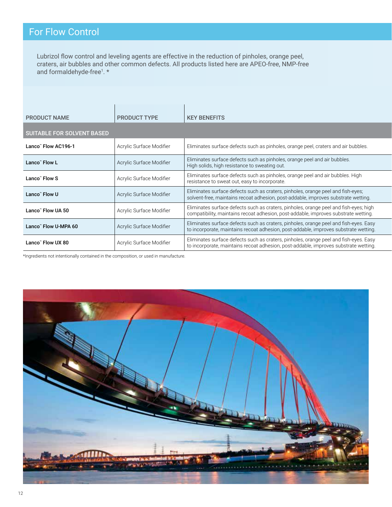## For Flow Control

Lubrizol flow control and leveling agents are effective in the reduction of pinholes, orange peel, craters, air bubbles and other common defects. All products listed here are APEO-free, NMP-free and formaldehyde-free<sup>1</sup>.\*

| <b>PRODUCT NAME</b>               | <b>PRODUCT TYPE</b>      | <b>KEY BENEFITS</b>                                                                                                                                                           |
|-----------------------------------|--------------------------|-------------------------------------------------------------------------------------------------------------------------------------------------------------------------------|
| <b>SUITABLE FOR SOLVENT BASED</b> |                          |                                                                                                                                                                               |
| Lanco" Flow AC196-1               | Acrylic Surface Modifier | Eliminates surface defects such as pinholes, orange peel, craters and air bubbles.                                                                                            |
| Lanco" Flow L                     | Acrylic Surface Modifier | Eliminates surface defects such as pinholes, orange peel and air bubbles.<br>High solids, high resistance to sweating out.                                                    |
| Lanco" Flow S                     | Acrylic Surface Modifier | Eliminates surface defects such as pinholes, orange peel and air bubbles. High<br>resistance to sweat out, easy to incorporate.                                               |
| Lanco" Flow U                     | Acrylic Surface Modifier | Eliminates surface defects such as craters, pinholes, orange peel and fish-eyes;<br>solvent-free, maintains recoat adhesion, post-addable, improves substrate wetting.        |
| Lanco" Flow UA 50                 | Acrylic Surface Modifier | Eliminates surface defects such as craters, pinholes, orange peel and fish-eyes; high<br>compatibility, maintains recoat adhesion, post-addable, improves substrate wetting.  |
| Lanco" Flow U-MPA 60              | Acrylic Surface Modifier | Eliminates surface defects such as craters, pinholes, orange peel and fish-eyes. Easy<br>to incorporate, maintains recoat adhesion, post-addable, improves substrate wetting. |
| Lanco" Flow UX 80                 | Acrylic Surface Modifier | Eliminates surface defects such as craters, pinholes, orange peel and fish-eyes. Easy<br>to incorporate, maintains recoat adhesion, post-addable, improves substrate wetting. |

\*Ingredients not intentionally contained in the composition, or used in manufacture.

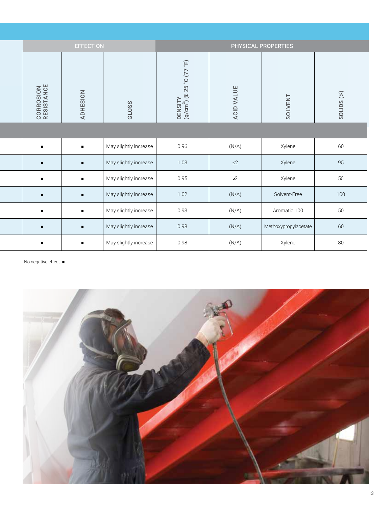|                                 | <b>EFFECT ON</b> |                       |                                                                         |               | PHYSICAL PROPERTIES  |            |
|---------------------------------|------------------|-----------------------|-------------------------------------------------------------------------|---------------|----------------------|------------|
| <b>CORROSION<br/>RESISTANCE</b> | <b>ADHESION</b>  | GLOSS                 | $\widetilde{\mathbb{F}}$<br>DENSITY<br>(g/cm <sup>3</sup> ) @ 25 °C (77 | VALUE<br>ACID | <b>SOLVENT</b>       | SOLIDS (%) |
|                                 |                  |                       |                                                                         |               |                      |            |
| $\blacksquare$                  | $\blacksquare$   | May slightly increase | 0.96                                                                    | (N/A)         | Xylene               | 60         |
| $\blacksquare$                  | $\blacksquare$   | May slightly increase | 1.03                                                                    | $\leq$ 2      | Xylene               | 95         |
| $\blacksquare$                  | $\blacksquare$   | May slightly increase | 0.95                                                                    | $\sim$ 2      | Xylene               | 50         |
| $\blacksquare$                  | $\blacksquare$   | May slightly increase | 1.02                                                                    | (N/A)         | Solvent-Free         | 100        |
| $\blacksquare$                  | $\blacksquare$   | May slightly increase | 0.93                                                                    | (N/A)         | Aromatic 100         | 50         |
| $\blacksquare$                  | $\blacksquare$   | May slightly increase | 0.98                                                                    | (N/A)         | Methoxypropylacetate | 60         |
| $\blacksquare$                  | $\blacksquare$   | May slightly increase | 0.98                                                                    | (N/A)         | Xylene               | 80         |

No negative effect ■

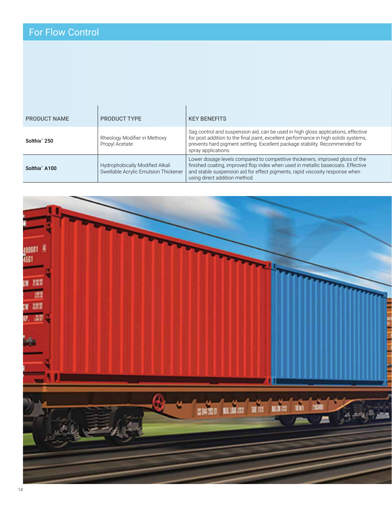# For Flow Control

| <b>PRODUCT NAME</b>       | <b>PRODUCT TYPE</b>                                                     | <b>KEY BENEFITS</b>                                                                                                                                                                                                                                                                |
|---------------------------|-------------------------------------------------------------------------|------------------------------------------------------------------------------------------------------------------------------------------------------------------------------------------------------------------------------------------------------------------------------------|
| Solthix" 250              | Rheology Modifier in Methoxy<br>Propyl Acetate                          | Sag control and suspension aid, can be used in high gloss applications, effective<br>for post addition to the final paint, excellent performance in high solids systems,<br>prevents hard pigment settling. Excellent package stability. Recommended for<br>spray applications.    |
| Solthix <sup>"</sup> A100 | Hydrophobically Modified Alkali<br>Swellable Acrylic Emulsion Thickener | Lower dosage levels compared to competitive thickeners, improved gloss of the<br>finished coating, improved flop index when used in metallic basecoats. Effective<br>and stable suspension aid for effect pigments, rapid viscosity response when<br>using direct addition method. |

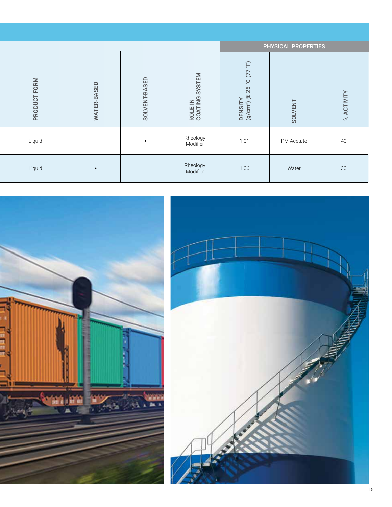|              |                    |               |                                |                                                    | <b>PHYSICAL PROPERTIES</b> |            |
|--------------|--------------------|---------------|--------------------------------|----------------------------------------------------|----------------------------|------------|
| PRODUCT FORM | <b>WATER-BASED</b> | SOLVENT-BASED | SYSTEM<br>ROLE IN<br>COATING : | 25°C (77°F)<br>DENSITY<br>(g/cm <sup>3</sup> ) @ 2 | <b>SOLVENT</b>             | % ACTIVITY |
| Liquid       |                    | $\bullet$     | Rheology<br>Modifier           | 1.01                                               | PM Acetate                 | 40         |
| Liquid       | $\bullet$          |               | Rheology<br>Modifier           | 1.06                                               | Water                      | $30\,$     |